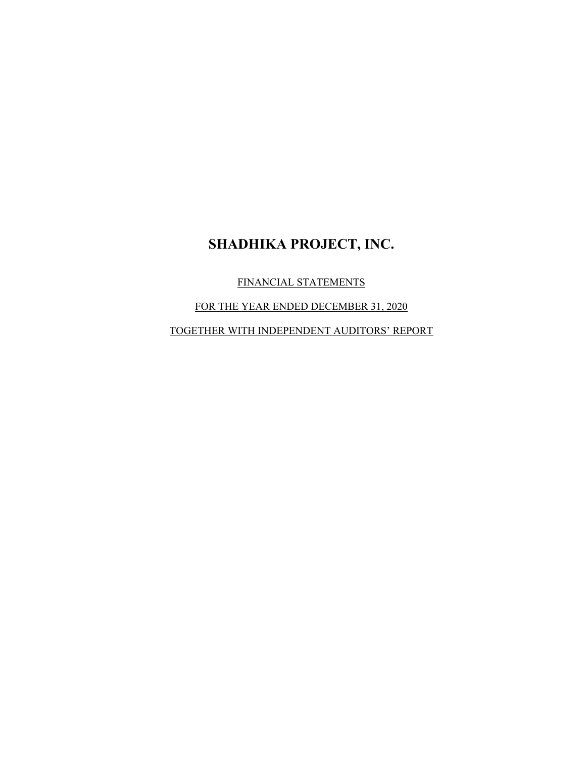FINANCIAL STATEMENTS

FOR THE YEAR ENDED DECEMBER 31, 2020

TOGETHER WITH INDEPENDENT AUDITORS' REPORT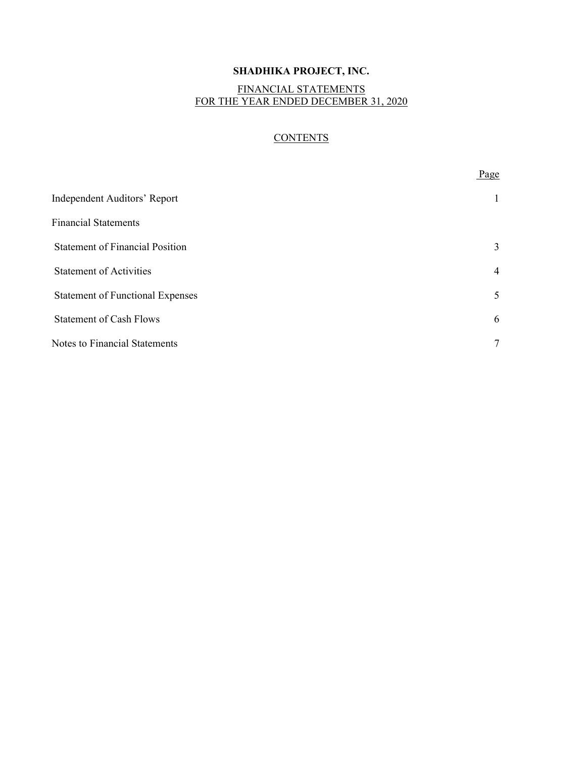### FINANCIAL STATEMENTS FOR THE YEAR ENDED DECEMBER 31, 2020

### **CONTENTS**

| Page           |
|----------------|
|                |
|                |
| 3              |
| $\overline{4}$ |
| 5              |
| 6              |
| 7              |
|                |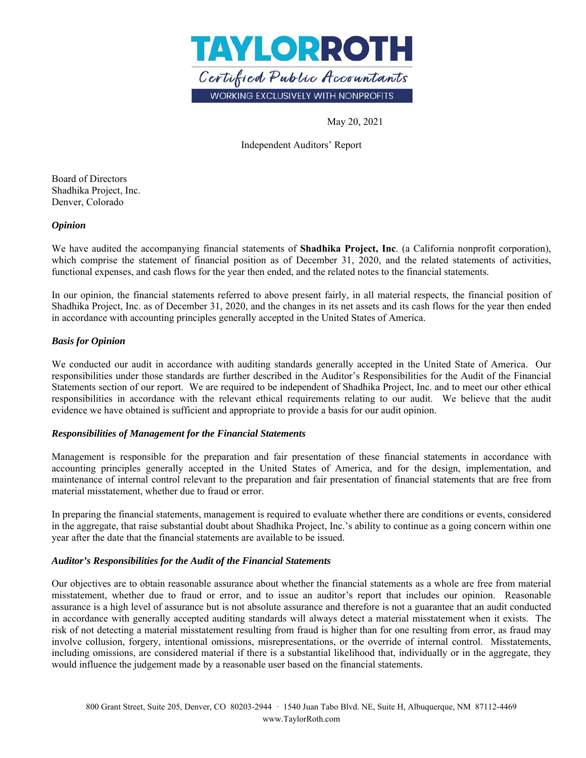

May 20, 2021

Independent Auditors' Report

Board of Directors Shadhika Project, Inc. Denver, Colorado

### *Opinion*

We have audited the accompanying financial statements of **Shadhika Project, Inc**. (a California nonprofit corporation), which comprise the statement of financial position as of December 31, 2020, and the related statements of activities, functional expenses, and cash flows for the year then ended, and the related notes to the financial statements.

In our opinion, the financial statements referred to above present fairly, in all material respects, the financial position of Shadhika Project, Inc. as of December 31, 2020, and the changes in its net assets and its cash flows for the year then ended in accordance with accounting principles generally accepted in the United States of America.

### *Basis for Opinion*

We conducted our audit in accordance with auditing standards generally accepted in the United State of America. Our responsibilities under those standards are further described in the Auditor's Responsibilities for the Audit of the Financial Statements section of our report. We are required to be independent of Shadhika Project, Inc. and to meet our other ethical responsibilities in accordance with the relevant ethical requirements relating to our audit. We believe that the audit evidence we have obtained is sufficient and appropriate to provide a basis for our audit opinion.

#### *Responsibilities of Management for the Financial Statements*

Management is responsible for the preparation and fair presentation of these financial statements in accordance with accounting principles generally accepted in the United States of America, and for the design, implementation, and maintenance of internal control relevant to the preparation and fair presentation of financial statements that are free from material misstatement, whether due to fraud or error.

In preparing the financial statements, management is required to evaluate whether there are conditions or events, considered in the aggregate, that raise substantial doubt about Shadhika Project, Inc.'s ability to continue as a going concern within one year after the date that the financial statements are available to be issued.

#### *Auditor's Responsibilities for the Audit of the Financial Statements*

Our objectives are to obtain reasonable assurance about whether the financial statements as a whole are free from material misstatement, whether due to fraud or error, and to issue an auditor's report that includes our opinion. Reasonable assurance is a high level of assurance but is not absolute assurance and therefore is not a guarantee that an audit conducted in accordance with generally accepted auditing standards will always detect a material misstatement when it exists. The risk of not detecting a material misstatement resulting from fraud is higher than for one resulting from error, as fraud may involve collusion, forgery, intentional omissions, misrepresentations, or the override of internal control. Misstatements, including omissions, are considered material if there is a substantial likelihood that, individually or in the aggregate, they would influence the judgement made by a reasonable user based on the financial statements.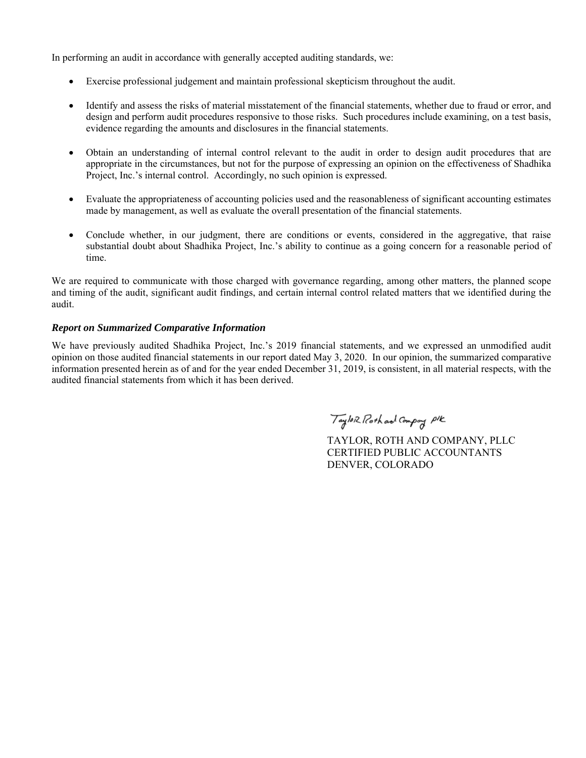In performing an audit in accordance with generally accepted auditing standards, we:

- Exercise professional judgement and maintain professional skepticism throughout the audit.
- Identify and assess the risks of material misstatement of the financial statements, whether due to fraud or error, and design and perform audit procedures responsive to those risks. Such procedures include examining, on a test basis, evidence regarding the amounts and disclosures in the financial statements.
- Obtain an understanding of internal control relevant to the audit in order to design audit procedures that are appropriate in the circumstances, but not for the purpose of expressing an opinion on the effectiveness of Shadhika Project, Inc.'s internal control. Accordingly, no such opinion is expressed.
- Evaluate the appropriateness of accounting policies used and the reasonableness of significant accounting estimates made by management, as well as evaluate the overall presentation of the financial statements.
- Conclude whether, in our judgment, there are conditions or events, considered in the aggregative, that raise substantial doubt about Shadhika Project, Inc.'s ability to continue as a going concern for a reasonable period of time.

We are required to communicate with those charged with governance regarding, among other matters, the planned scope and timing of the audit, significant audit findings, and certain internal control related matters that we identified during the audit.

### *Report on Summarized Comparative Information*

We have previously audited Shadhika Project, Inc.'s 2019 financial statements, and we expressed an unmodified audit opinion on those audited financial statements in our report dated May 3, 2020. In our opinion, the summarized comparative information presented herein as of and for the year ended December 31, 2019, is consistent, in all material respects, with the audited financial statements from which it has been derived.

Taylor Roth and Compay PIK

TAYLOR, ROTH AND COMPANY, PLLC CERTIFIED PUBLIC ACCOUNTANTS DENVER, COLORADO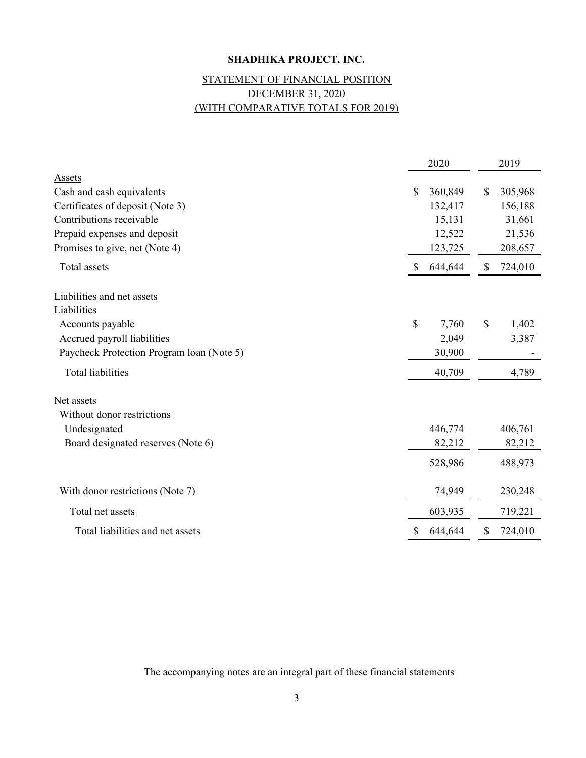# (WITH COMPARATIVE TOTALS FOR 2019) STATEMENT OF FINANCIAL POSITION DECEMBER 31, 2020

|                                           | 2020          | 2019          |
|-------------------------------------------|---------------|---------------|
| <b>Assets</b>                             |               |               |
| Cash and cash equivalents                 | \$<br>360,849 | \$<br>305,968 |
| Certificates of deposit (Note 3)          | 132,417       | 156,188       |
| Contributions receivable                  | 15,131        | 31,661        |
| Prepaid expenses and deposit              | 12,522        | 21,536        |
| Promises to give, net (Note 4)            | 123,725       | 208,657       |
| Total assets                              | 644,644       | \$<br>724,010 |
| Liabilities and net assets                |               |               |
| Liabilities                               |               |               |
| Accounts payable                          | \$<br>7,760   | \$<br>1,402   |
| Accrued payroll liabilities               | 2,049         | 3,387         |
| Paycheck Protection Program loan (Note 5) | 30,900        |               |
| <b>Total liabilities</b>                  | 40,709        | 4,789         |
| Net assets                                |               |               |
| Without donor restrictions                |               |               |
| Undesignated                              | 446,774       | 406,761       |
| Board designated reserves (Note 6)        | 82,212        | 82,212        |
|                                           | 528,986       | 488,973       |
| With donor restrictions (Note 7)          | 74,949        | 230,248       |
| Total net assets                          | 603,935       | 719,221       |
| Total liabilities and net assets          | \$<br>644,644 | \$<br>724,010 |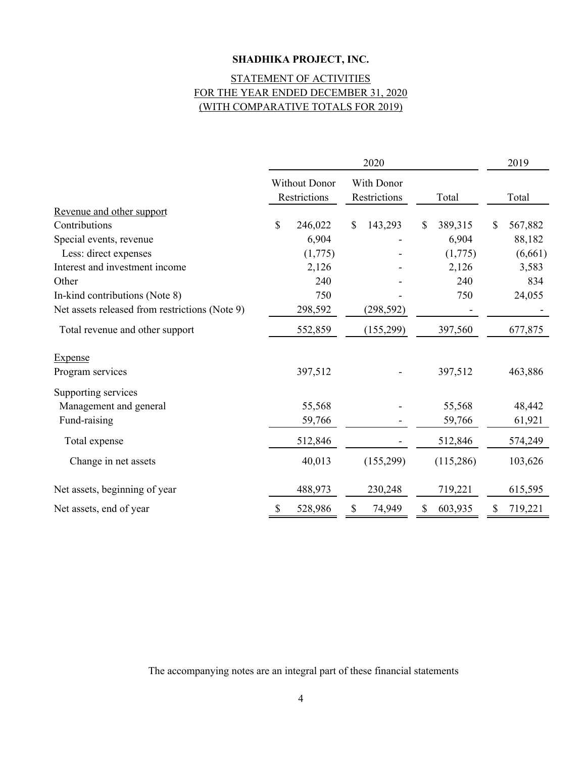## (WITH COMPARATIVE TOTALS FOR 2019) STATEMENT OF ACTIVITIES FOR THE YEAR ENDED DECEMBER 31, 2020

|                                                | 2020        |                               |    |                            | 2019 |           |    |         |
|------------------------------------------------|-------------|-------------------------------|----|----------------------------|------|-----------|----|---------|
|                                                |             | Without Donor<br>Restrictions |    | With Donor<br>Restrictions |      | Total     |    | Total   |
| Revenue and other support                      |             |                               |    |                            |      |           |    |         |
| Contributions                                  | $\mathbf S$ | 246,022                       | \$ | 143,293                    | S    | 389,315   | \$ | 567,882 |
| Special events, revenue                        |             | 6,904                         |    |                            |      | 6,904     |    | 88,182  |
| Less: direct expenses                          |             | (1,775)                       |    |                            |      | (1,775)   |    | (6,661) |
| Interest and investment income                 |             | 2,126                         |    |                            |      | 2,126     |    | 3,583   |
| Other                                          |             | 240                           |    |                            |      | 240       |    | 834     |
| In-kind contributions (Note 8)                 |             | 750                           |    |                            |      | 750       |    | 24,055  |
| Net assets released from restrictions (Note 9) |             | 298,592                       |    | (298, 592)                 |      |           |    |         |
| Total revenue and other support                |             | 552,859                       |    | (155,299)                  |      | 397,560   |    | 677,875 |
| <b>Expense</b>                                 |             |                               |    |                            |      |           |    |         |
| Program services                               |             | 397,512                       |    |                            |      | 397,512   |    | 463,886 |
| Supporting services                            |             |                               |    |                            |      |           |    |         |
| Management and general                         |             | 55,568                        |    |                            |      | 55,568    |    | 48,442  |
| Fund-raising                                   |             | 59,766                        |    |                            |      | 59,766    |    | 61,921  |
| Total expense                                  |             | 512,846                       |    |                            |      | 512,846   |    | 574,249 |
| Change in net assets                           |             | 40,013                        |    | (155,299)                  |      | (115,286) |    | 103,626 |
| Net assets, beginning of year                  |             | 488,973                       |    | 230,248                    |      | 719,221   |    | 615,595 |
| Net assets, end of year                        | S           | 528,986                       |    | 74,949                     |      | 603,935   | S  | 719,221 |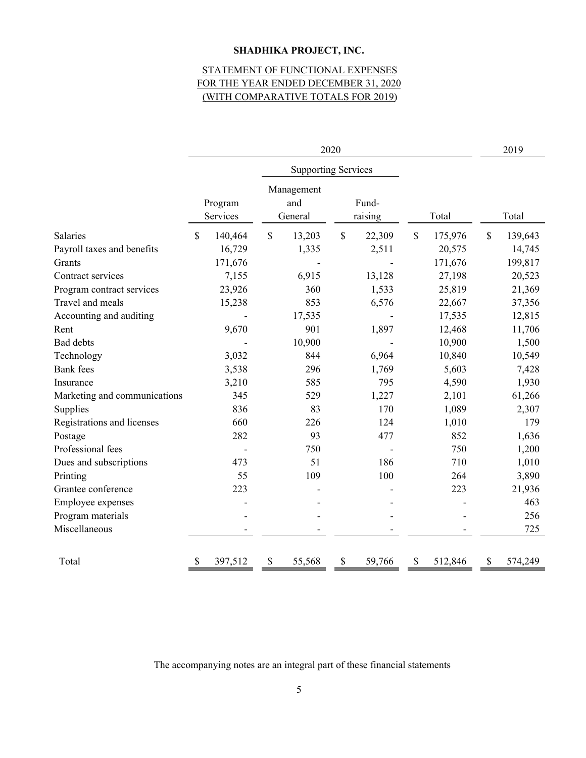# STATEMENT OF FUNCTIONAL EXPENSES (WITH COMPARATIVE TOTALS FOR 2019) FOR THE YEAR ENDED DECEMBER 31, 2020

| 2020                         |                     |                              | 2019                       |               |                          |
|------------------------------|---------------------|------------------------------|----------------------------|---------------|--------------------------|
|                              |                     |                              | <b>Supporting Services</b> |               |                          |
|                              | Program<br>Services | Management<br>and<br>General | Fund-<br>raising           | Total         | Total                    |
| Salaries                     | \$<br>140,464       | \$<br>13,203                 | $\mathcal{S}$<br>22,309    | \$<br>175,976 | $\mathcal{S}$<br>139,643 |
| Payroll taxes and benefits   | 16,729              | 1,335                        | 2,511                      | 20,575        | 14,745                   |
| Grants                       | 171,676             |                              |                            | 171,676       | 199,817                  |
| Contract services            | 7,155               | 6,915                        | 13,128                     | 27,198        | 20,523                   |
| Program contract services    | 23,926              | 360                          | 1,533                      | 25,819        | 21,369                   |
| Travel and meals             | 15,238              | 853                          | 6,576                      | 22,667        | 37,356                   |
| Accounting and auditing      |                     | 17,535                       |                            | 17,535        | 12,815                   |
| Rent                         | 9,670               | 901                          | 1,897                      | 12,468        | 11,706                   |
| <b>Bad debts</b>             |                     | 10,900                       |                            | 10,900        | 1,500                    |
| Technology                   | 3,032               | 844                          | 6,964                      | 10,840        | 10,549                   |
| <b>Bank</b> fees             | 3,538               | 296                          | 1,769                      | 5,603         | 7,428                    |
| Insurance                    | 3,210               | 585                          | 795                        | 4,590         | 1,930                    |
| Marketing and communications | 345                 | 529                          | 1,227                      | 2,101         | 61,266                   |
| Supplies                     | 836                 | 83                           | 170                        | 1,089         | 2,307                    |
| Registrations and licenses   | 660                 | 226                          | 124                        | 1,010         | 179                      |
| Postage                      | 282                 | 93                           | 477                        | 852           | 1,636                    |
| Professional fees            |                     | 750                          |                            | 750           | 1,200                    |
| Dues and subscriptions       | 473                 | 51                           | 186                        | 710           | 1,010                    |
| Printing                     | 55                  | 109                          | 100                        | 264           | 3,890                    |
| Grantee conference           | 223                 |                              |                            | 223           | 21,936                   |
| Employee expenses            |                     |                              |                            |               | 463                      |
| Program materials            |                     |                              |                            |               | 256                      |
| Miscellaneous                |                     |                              |                            |               | 725                      |
| Total                        | 397,512<br>S        | \$<br>55,568                 | \$<br>59,766               | \$<br>512,846 | \$<br>574,249            |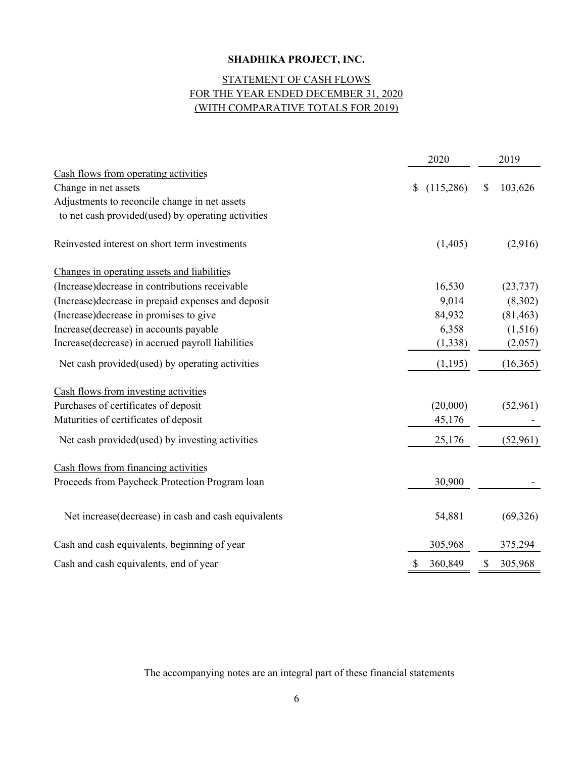# (WITH COMPARATIVE TOTALS FOR 2019) STATEMENT OF CASH FLOWS FOR THE YEAR ENDED DECEMBER 31, 2020

|                                                     | 2020            | 2019          |
|-----------------------------------------------------|-----------------|---------------|
| Cash flows from operating activities                |                 |               |
| Change in net assets                                | (115,286)<br>\$ | \$<br>103,626 |
| Adjustments to reconcile change in net assets       |                 |               |
| to net cash provided(used) by operating activities  |                 |               |
| Reinvested interest on short term investments       | (1,405)         | (2,916)       |
| Changes in operating assets and liabilities         |                 |               |
| (Increase) decrease in contributions receivable     | 16,530          | (23, 737)     |
| (Increase) decrease in prepaid expenses and deposit | 9,014           | (8,302)       |
| (Increase) decrease in promises to give             | 84,932          | (81, 463)     |
| Increase(decrease) in accounts payable              | 6,358           | (1,516)       |
| Increase(decrease) in accrued payroll liabilities   | (1,338)         | (2,057)       |
| Net cash provided(used) by operating activities     | (1,195)         | (16, 365)     |
| Cash flows from investing activities                |                 |               |
| Purchases of certificates of deposit                | (20,000)        | (52,961)      |
| Maturities of certificates of deposit               | 45,176          |               |
| Net cash provided (used) by investing activities    | 25,176          | (52,961)      |
| Cash flows from financing activities                |                 |               |
| Proceeds from Paycheck Protection Program loan      | 30,900          |               |
| Net increase(decrease) in cash and cash equivalents | 54,881          | (69, 326)     |
| Cash and cash equivalents, beginning of year        | 305,968         | 375,294       |
| Cash and cash equivalents, end of year              | 360,849<br>\$   | \$<br>305,968 |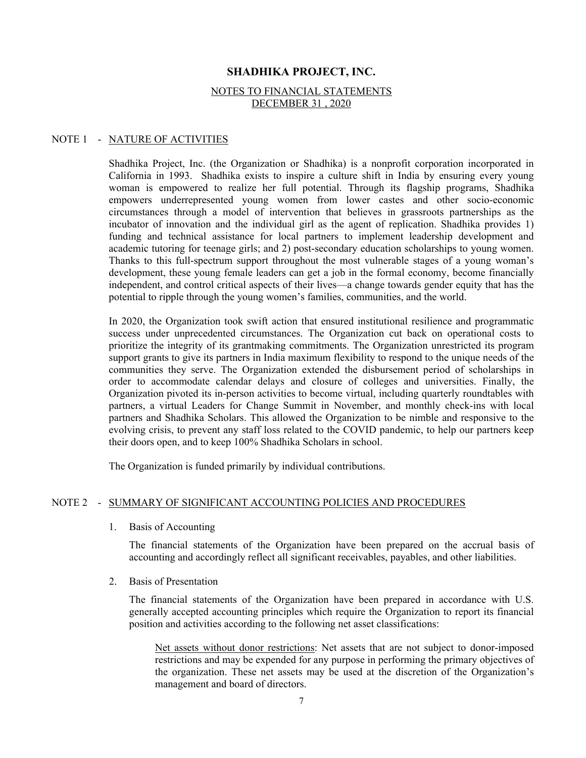#### NOTES TO FINANCIAL STATEMENTS DECEMBER 31 , 2020

#### NOTE 1 - NATURE OF ACTIVITIES

Shadhika Project, Inc. (the Organization or Shadhika) is a nonprofit corporation incorporated in California in 1993. Shadhika exists to inspire a culture shift in India by ensuring every young woman is empowered to realize her full potential. Through its flagship programs, Shadhika empowers underrepresented young women from lower castes and other socio-economic circumstances through a model of intervention that believes in grassroots partnerships as the incubator of innovation and the individual girl as the agent of replication. Shadhika provides 1) funding and technical assistance for local partners to implement leadership development and academic tutoring for teenage girls; and 2) post-secondary education scholarships to young women. Thanks to this full-spectrum support throughout the most vulnerable stages of a young woman's development, these young female leaders can get a job in the formal economy, become financially independent, and control critical aspects of their lives—a change towards gender equity that has the potential to ripple through the young women's families, communities, and the world.

In 2020, the Organization took swift action that ensured institutional resilience and programmatic success under unprecedented circumstances. The Organization cut back on operational costs to prioritize the integrity of its grantmaking commitments. The Organization unrestricted its program support grants to give its partners in India maximum flexibility to respond to the unique needs of the communities they serve. The Organization extended the disbursement period of scholarships in order to accommodate calendar delays and closure of colleges and universities. Finally, the Organization pivoted its in-person activities to become virtual, including quarterly roundtables with partners, a virtual Leaders for Change Summit in November, and monthly check-ins with local partners and Shadhika Scholars. This allowed the Organization to be nimble and responsive to the evolving crisis, to prevent any staff loss related to the COVID pandemic, to help our partners keep their doors open, and to keep 100% Shadhika Scholars in school.

The Organization is funded primarily by individual contributions.

#### NOTE 2 - SUMMARY OF SIGNIFICANT ACCOUNTING POLICIES AND PROCEDURES

1. Basis of Accounting

The financial statements of the Organization have been prepared on the accrual basis of accounting and accordingly reflect all significant receivables, payables, and other liabilities.

2. Basis of Presentation

The financial statements of the Organization have been prepared in accordance with U.S. generally accepted accounting principles which require the Organization to report its financial position and activities according to the following net asset classifications:

Net assets without donor restrictions: Net assets that are not subject to donor-imposed restrictions and may be expended for any purpose in performing the primary objectives of the organization. These net assets may be used at the discretion of the Organization's management and board of directors.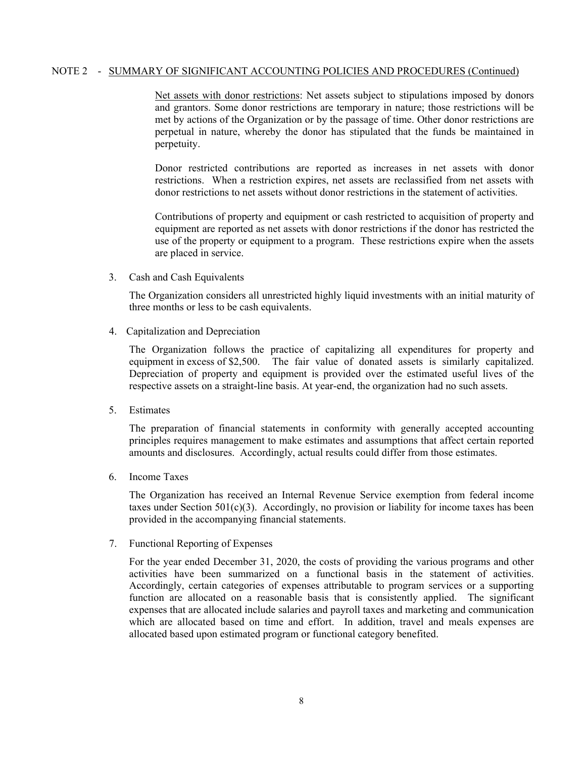### NOTE 2 - SUMMARY OF SIGNIFICANT ACCOUNTING POLICIES AND PROCEDURES (Continued)

Net assets with donor restrictions: Net assets subject to stipulations imposed by donors and grantors. Some donor restrictions are temporary in nature; those restrictions will be met by actions of the Organization or by the passage of time. Other donor restrictions are perpetual in nature, whereby the donor has stipulated that the funds be maintained in perpetuity.

Donor restricted contributions are reported as increases in net assets with donor restrictions. When a restriction expires, net assets are reclassified from net assets with donor restrictions to net assets without donor restrictions in the statement of activities.

Contributions of property and equipment or cash restricted to acquisition of property and equipment are reported as net assets with donor restrictions if the donor has restricted the use of the property or equipment to a program. These restrictions expire when the assets are placed in service.

3. Cash and Cash Equivalents

The Organization considers all unrestricted highly liquid investments with an initial maturity of three months or less to be cash equivalents.

4. Capitalization and Depreciation

The Organization follows the practice of capitalizing all expenditures for property and equipment in excess of \$2,500. The fair value of donated assets is similarly capitalized. Depreciation of property and equipment is provided over the estimated useful lives of the respective assets on a straight-line basis. At year-end, the organization had no such assets.

5. Estimates

The preparation of financial statements in conformity with generally accepted accounting principles requires management to make estimates and assumptions that affect certain reported amounts and disclosures. Accordingly, actual results could differ from those estimates.

6. Income Taxes

The Organization has received an Internal Revenue Service exemption from federal income taxes under Section  $501(c)(3)$ . Accordingly, no provision or liability for income taxes has been provided in the accompanying financial statements.

7. Functional Reporting of Expenses

For the year ended December 31, 2020, the costs of providing the various programs and other activities have been summarized on a functional basis in the statement of activities. Accordingly, certain categories of expenses attributable to program services or a supporting function are allocated on a reasonable basis that is consistently applied. The significant expenses that are allocated include salaries and payroll taxes and marketing and communication which are allocated based on time and effort. In addition, travel and meals expenses are allocated based upon estimated program or functional category benefited.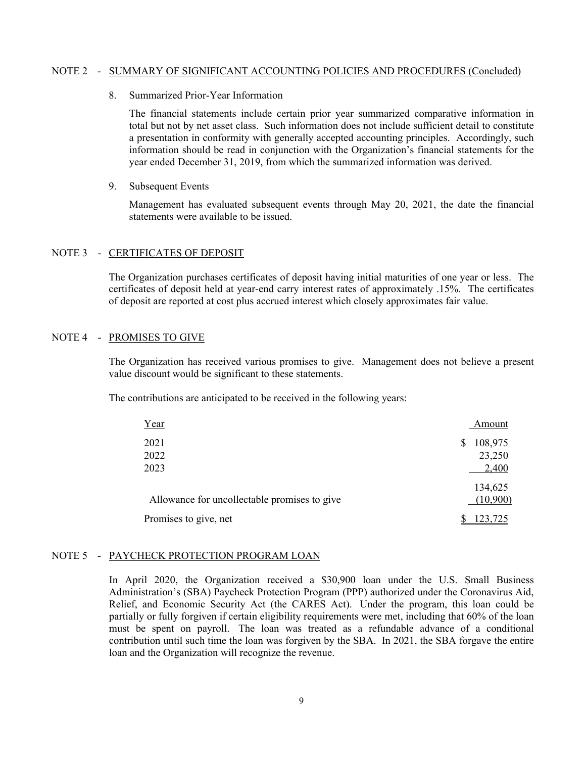#### NOTE 2 - SUMMARY OF SIGNIFICANT ACCOUNTING POLICIES AND PROCEDURES (Concluded)

8. Summarized Prior-Year Information

The financial statements include certain prior year summarized comparative information in total but not by net asset class. Such information does not include sufficient detail to constitute a presentation in conformity with generally accepted accounting principles. Accordingly, such information should be read in conjunction with the Organization's financial statements for the year ended December 31, 2019, from which the summarized information was derived.

9. Subsequent Events

Management has evaluated subsequent events through May 20, 2021, the date the financial statements were available to be issued.

#### NOTE 3 - CERTIFICATES OF DEPOSIT

The Organization purchases certificates of deposit having initial maturities of one year or less. The certificates of deposit held at year-end carry interest rates of approximately .15%. The certificates of deposit are reported at cost plus accrued interest which closely approximates fair value.

### NOTE 4 - PROMISES TO GIVE

The Organization has received various promises to give. Management does not believe a present value discount would be significant to these statements.

The contributions are anticipated to be received in the following years:

| Year                                         | Amount                 |
|----------------------------------------------|------------------------|
| 2021<br>2022                                 | 108,975<br>S<br>23,250 |
| 2023                                         | 2,400                  |
| Allowance for uncollectable promises to give | 134,625<br>(10,900)    |
| Promises to give, net                        | 23.725                 |

#### NOTE 5 - PAYCHECK PROTECTION PROGRAM LOAN

In April 2020, the Organization received a \$30,900 loan under the U.S. Small Business Administration's (SBA) Paycheck Protection Program (PPP) authorized under the Coronavirus Aid, Relief, and Economic Security Act (the CARES Act). Under the program, this loan could be partially or fully forgiven if certain eligibility requirements were met, including that 60% of the loan must be spent on payroll. The loan was treated as a refundable advance of a conditional contribution until such time the loan was forgiven by the SBA. In 2021, the SBA forgave the entire loan and the Organization will recognize the revenue.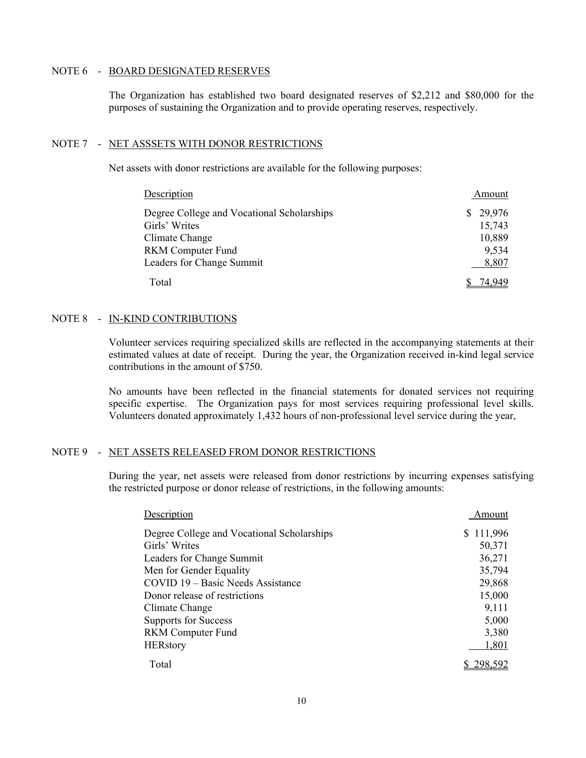#### NOTE 6 - BOARD DESIGNATED RESERVES

 The Organization has established two board designated reserves of \$2,212 and \$80,000 for the purposes of sustaining the Organization and to provide operating reserves, respectively.

#### NOTE 7 - NET ASSSETS WITH DONOR RESTRICTIONS

Net assets with donor restrictions are available for the following purposes:

| Description                                | Amount       |
|--------------------------------------------|--------------|
| Degree College and Vocational Scholarships | 29,976<br>S. |
| Girls' Writes                              | 15,743       |
| Climate Change                             | 10,889       |
| <b>RKM</b> Computer Fund                   | 9,534        |
| Leaders for Change Summit                  | 8,807        |
| Total                                      |              |

#### NOTE 8 - IN-KIND CONTRIBUTIONS

Volunteer services requiring specialized skills are reflected in the accompanying statements at their estimated values at date of receipt. During the year, the Organization received in-kind legal service contributions in the amount of \$750.

No amounts have been reflected in the financial statements for donated services not requiring specific expertise. The Organization pays for most services requiring professional level skills. Volunteers donated approximately 1,432 hours of non-professional level service during the year,

#### NOTE 9 - NET ASSETS RELEASED FROM DONOR RESTRICTIONS

During the year, net assets were released from donor restrictions by incurring expenses satisfying the restricted purpose or donor release of restrictions, in the following amounts:

| Description                                | Amount    |
|--------------------------------------------|-----------|
| Degree College and Vocational Scholarships | \$111,996 |
| Girls' Writes                              | 50,371    |
| Leaders for Change Summit                  | 36,271    |
| Men for Gender Equality                    | 35,794    |
| COVID 19 – Basic Needs Assistance          | 29,868    |
| Donor release of restrictions              | 15,000    |
| Climate Change                             | 9,111     |
| <b>Supports for Success</b>                | 5,000     |
| <b>RKM</b> Computer Fund                   | 3,380     |
| <b>HERstory</b>                            | 1,801     |
| Total                                      | 298,592   |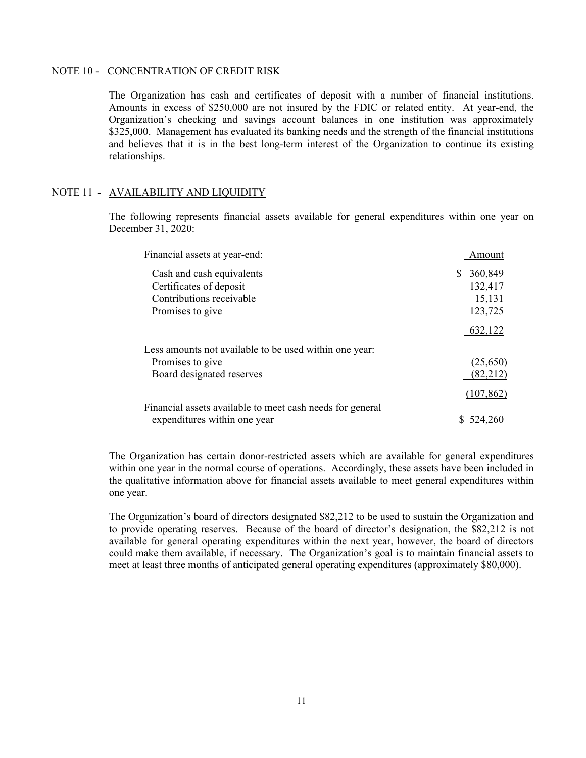#### NOTE 10 - CONCENTRATION OF CREDIT RISK

The Organization has cash and certificates of deposit with a number of financial institutions. Amounts in excess of \$250,000 are not insured by the FDIC or related entity. At year-end, the Organization's checking and savings account balances in one institution was approximately \$325,000. Management has evaluated its banking needs and the strength of the financial institutions and believes that it is in the best long-term interest of the Organization to continue its existing relationships.

### NOTE 11 - AVAILABILITY AND LIQUIDITY

The following represents financial assets available for general expenditures within one year on December 31, 2020:

| Financial assets at year-end:                             | Amount        |
|-----------------------------------------------------------|---------------|
| Cash and cash equivalents                                 | 360,849<br>S. |
| Certificates of deposit                                   | 132,417       |
| Contributions receivable                                  | 15,131        |
| Promises to give                                          | 123,725       |
|                                                           | 632,122       |
| Less amounts not available to be used within one year:    |               |
| Promises to give                                          | (25,650)      |
| Board designated reserves                                 | (82,212)      |
|                                                           | (107, 862)    |
| Financial assets available to meet cash needs for general |               |
| expenditures within one year                              | 524.2         |

The Organization has certain donor-restricted assets which are available for general expenditures within one year in the normal course of operations. Accordingly, these assets have been included in the qualitative information above for financial assets available to meet general expenditures within one year.

The Organization's board of directors designated \$82,212 to be used to sustain the Organization and to provide operating reserves. Because of the board of director's designation, the \$82,212 is not available for general operating expenditures within the next year, however, the board of directors could make them available, if necessary. The Organization's goal is to maintain financial assets to meet at least three months of anticipated general operating expenditures (approximately \$80,000).